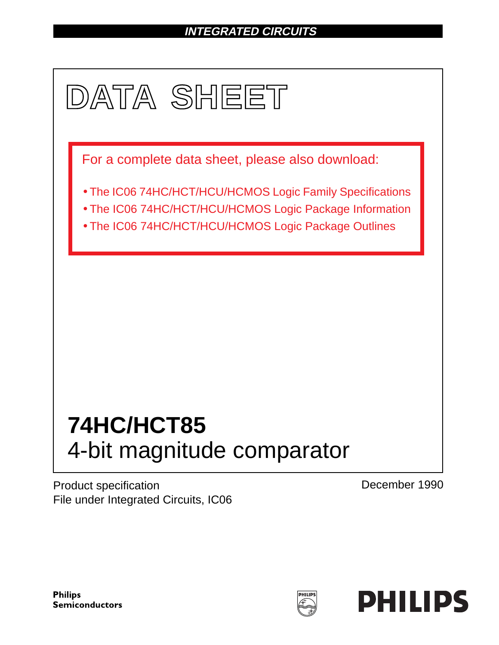# **INTEGRATED CIRCUITS**



Product specification File under Integrated Circuits, IC06 December 1990

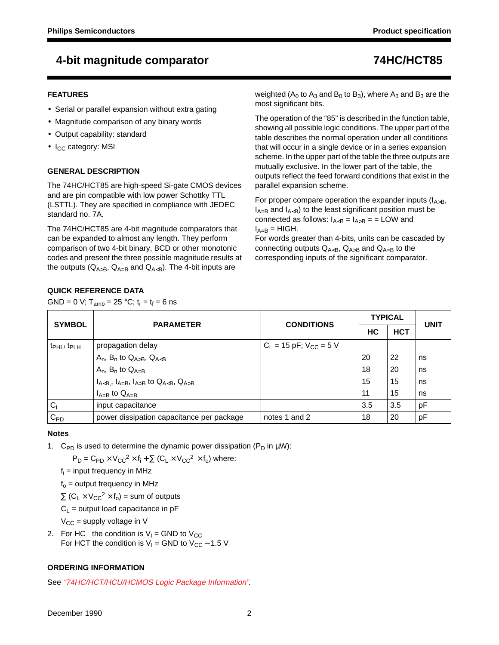## **4-bit magnitude comparator 74HC/HCT85**

### **FEATURES**

- Serial or parallel expansion without extra gating
- Magnitude comparison of any binary words
- Output capability: standard
- I<sub>CC</sub> category: MSI

### **GENERAL DESCRIPTION**

The 74HC/HCT85 are high-speed Si-gate CMOS devices and are pin compatible with low power Schottky TTL (LSTTL). They are specified in compliance with JEDEC standard no. 7A.

The 74HC/HCT85 are 4-bit magnitude comparators that can be expanded to almost any length. They perform comparison of two 4-bit binary, BCD or other monotonic codes and present the three possible magnitude results at the outputs ( $Q_{A>B}$ ,  $Q_{A=B}$  and  $Q_{A). The 4-bit inputs are$ 

weighted ( $A_0$  to  $A_3$  and  $B_0$  to  $B_3$ ), where  $A_3$  and  $B_3$  are the most significant bits.

The operation of the "85" is described in the function table, showing all possible logic conditions. The upper part of the table describes the normal operation under all conditions that will occur in a single device or in a series expansion scheme. In the upper part of the table the three outputs are mutually exclusive. In the lower part of the table, the outputs reflect the feed forward conditions that exist in the parallel expansion scheme.

For proper compare operation the expander inputs ( $I_{A>B}$ ,  $I_{A=B}$  and  $I_{A) to the least significant position must be$ connected as follows:  $I_{AB} =$  = LOW and  $I_{A=B}$  = HIGH.

For words greater than 4-bits, units can be cascaded by connecting outputs  $Q_{A\leq B}$ ,  $Q_{A>B}$  and  $Q_{A=B}$  to the corresponding inputs of the significant comparator.

## **QUICK REFERENCE DATA**

GND = 0 V;  $T_{amb}$  = 25 °C;  $t_r = t_f = 6$  ns

| <b>SYMBOL</b>               | <b>PARAMETER</b>                          | <b>CONDITIONS</b>             | <b>TYPICAL</b> | <b>UNIT</b> |    |
|-----------------------------|-------------------------------------------|-------------------------------|----------------|-------------|----|
|                             |                                           |                               | НC             | <b>HCT</b>  |    |
| $t_{\rm PHL}$ $t_{\rm PLH}$ | propagation delay                         | $C_L$ = 15 pF; $V_{CC}$ = 5 V |                |             |    |
|                             | $A_n$ , $B_n$ to $Q_{A>B}$ , $Q_{A$       |                               | 20             | 22          | ns |
|                             | $A_n$ , $B_n$ to $Q_{A=B}$                |                               | 18             | 20          | ns |
|                             | $I_{A, I_{A=B}, I_{A>B} to Q_{A, Q_{A>B}$ |                               | 15             | 15          | ns |
|                             | $I_{A=B}$ to $Q_{A=B}$                    |                               | 11             | 15          | ns |
| C <sub>1</sub>              | input capacitance                         |                               | 3.5            | 3.5         | pF |
| $C_{PD}$                    | power dissipation capacitance per package | notes 1 and 2                 | 18             | 20          | pF |

### **Notes**

1. C<sub>PD</sub> is used to determine the dynamic power dissipation (P<sub>D</sub> in  $\mu$ W):

 $P_D = C_{PD} \times V_{CC}^2 \times f_i + \sum (C_L \times V_{CC}^2 \times f_o)$  where:

 $f_i$  = input frequency in MHz

 $f<sub>o</sub>$  = output frequency in MHz

 $\Sigma$  (C<sub>L</sub> × V<sub>CC</sub><sup>2</sup> × f<sub>o</sub>) = sum of outputs

 $C_L$  = output load capacitance in pF

 $V_{\text{CC}}$  = supply voltage in V

2. For HC the condition is  $V_1$  = GND to  $V_{CC}$ For HCT the condition is  $V_1$  = GND to  $V_{CC}$  – 1.5 V

### **ORDERING INFORMATION**

See "74HC/HCT/HCU/HCMOS Logic Package Information".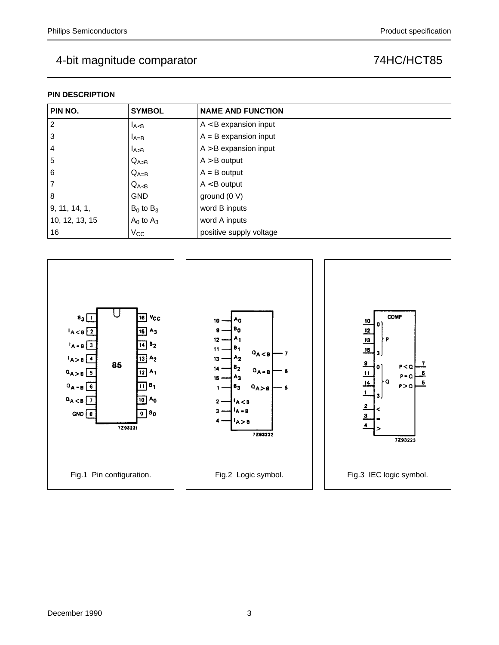## **PIN DESCRIPTION**

| PIN NO.        | <b>SYMBOL</b>  | <b>NAME AND FUNCTION</b> |
|----------------|----------------|--------------------------|
| $\overline{2}$ | $I_{A < B}$    | $A < B$ expansion input  |
| 3              | $I_{A=B}$      | $A = B$ expansion input  |
| $\overline{4}$ | $I_{A>B}$      | $A > B$ expansion input  |
| 5              | $Q_{A>B}$      | $A > B$ output           |
| 6              | $Q_{A=B}$      | $A = B$ output           |
| $\overline{7}$ | $Q_{A$         | $A < B$ output           |
| 8              | <b>GND</b>     | ground $(0 V)$           |
| 9, 11, 14, 1,  | $B_0$ to $B_3$ | word B inputs            |
| 10, 12, 13, 15 | $A_0$ to $A_3$ | word A inputs            |
| 16             | $V_{\rm CC}$   | positive supply voltage  |

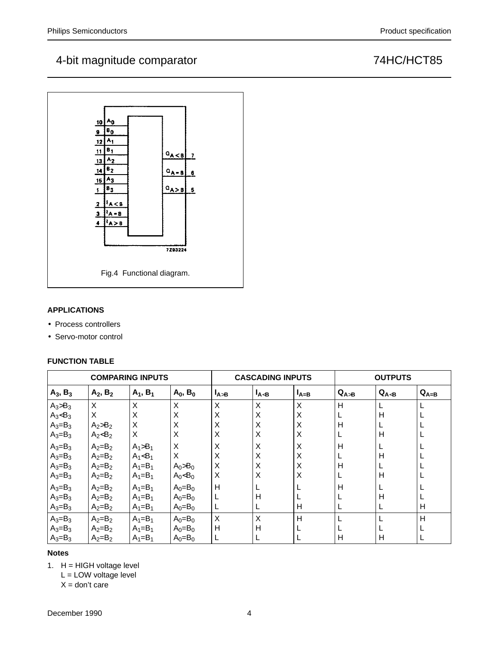## 4-bit magnitude comparator and the magnitude of the state of the T4HC/HCT85



## **APPLICATIONS**

- Process controllers
- Servo-motor control

### **FUNCTION TABLE**

|             |             | <b>COMPARING INPUTS</b> |               |           | <b>CASCADING INPUTS</b> |           | <b>OUTPUTS</b> |        |           |  |
|-------------|-------------|-------------------------|---------------|-----------|-------------------------|-----------|----------------|--------|-----------|--|
| $A_3, B_3$  | $A_2, B_2$  | $A_1, B_1$              | $A_0$ , $B_0$ | $I_{A>B}$ | $I_{A$                  | $I_{A=B}$ | $Q_{A>B}$      | $Q_{A$ | $Q_{A=B}$ |  |
| $A_3>B_3$   | X           | Χ                       | X             | X         | X                       | X         | Н              |        |           |  |
| $A_3 < B_3$ | X           | Χ                       | X             | Χ         | X                       | X         | L              | H      |           |  |
| $A_3 = B_3$ | $A_2>B_2$   | Χ                       | X             | Χ         | X                       | X         | н              |        |           |  |
| $A_3 = B_3$ | $A_2 < B_2$ | Χ                       | X             | X         | X                       | X         | L              | H      |           |  |
| $A_3 = B_3$ | $A_2=B_2$   | $A_1 > B_1$             | X             | Χ         | X                       | X         | H              |        |           |  |
| $A_3 = B_3$ | $A_2 = B_2$ | $A_1 < B_1$             | X             | Χ         | X                       | X         | L              | н      |           |  |
| $A_3 = B_3$ | $A_2 = B_2$ | $A_1 = B_1$             | $A_0 > B_0$   | X         | X                       | X         | Н              |        |           |  |
| $A_3=B_3$   | $A_2=B_2$   | $A_1 = B_1$             | $A_0 < B_0$   | X         | X                       | X         | L              | H      |           |  |
| $A_3 = B_3$ | $A_2 = B_2$ | $A_1 = B_1$             | $A_0 = B_0$   | H         |                         |           | $\mathsf{H}$   |        |           |  |
| $A_3 = B_3$ | $A_2=B_2$   | $A_1 = B_1$             | $A_0 = B_0$   |           | H                       |           |                | Н      |           |  |
| $A_3 = B_3$ | $A_2 = B_2$ | $A_1 = B_1$             | $A_0 = B_0$   | L         |                         | Н         | L              |        | Η         |  |
| $A_3 = B_3$ | $A_2=B_2$   | $A_1 = B_1$             | $A_0 = B_0$   | X         | X                       | H         | L              |        | Η         |  |
| $A_3 = B_3$ | $A_2 = B_2$ | $A_1 = B_1$             | $A_0 = B_0$   | H         | H                       |           | L              |        |           |  |
| $A_3 = B_3$ | $A_2 = B_2$ | $A_1 = B_1$             | $A_0 = B_0$   | L         |                         |           | Η              | Н      |           |  |

### **Notes**

1.  $H = HIGH$  voltage level

L = LOW voltage level

 $X =$  don't care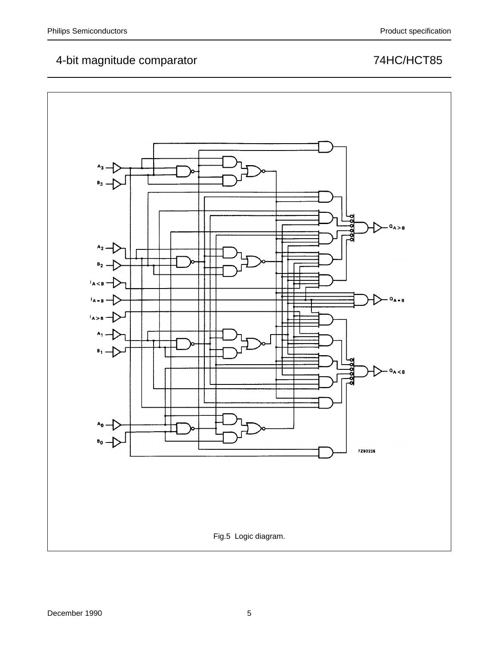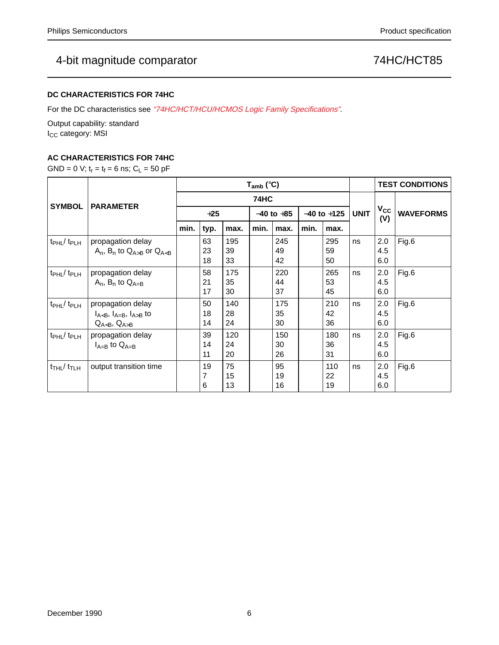## **DC CHARACTERISTICS FOR 74HC**

For the DC characteristics see "74HC/HCT/HCU/HCMOS Logic Family Specifications".

Output capability: standard I<sub>CC</sub> category: MSI

## **AC CHARACTERISTICS FOR 74HC**

GND = 0 V;  $t_r = t_f = 6$  ns;  $C_L = 50$  pF

|                                           |                                                               | $T_{amb}$ (°C) |                |                 |      |                 |      |                 |    |                   | <b>TEST CONDITIONS</b> |
|-------------------------------------------|---------------------------------------------------------------|----------------|----------------|-----------------|------|-----------------|------|-----------------|----|-------------------|------------------------|
| <b>SYMBOL</b>                             | <b>PARAMETER</b>                                              |                |                |                 |      | $V_{CC}$        |      |                 |    |                   |                        |
|                                           |                                                               | $+25$          |                | $-40$ to $+85$  |      | $-40$ to $+125$ |      | <b>UNIT</b>     |    | <b>WAVEFORMS</b>  |                        |
|                                           |                                                               | min.           | typ.           | max.            | min. | max.            | min. | max.            |    | (V)               |                        |
| $t_{\rm PHL}$ / $t_{\rm PLH}$             | propagation delay<br>$A_n$ , $B_n$ to $Q_{A>B}$ or $Q_{A$     |                | 63<br>23<br>18 | 195<br>39<br>33 |      | 245<br>49<br>42 |      | 295<br>59<br>50 | ns | 2.0<br>4.5<br>6.0 | Fig.6                  |
| $t_{\rm PHL}$ / $t_{\rm PLH}$             | propagation delay<br>$A_n$ , $B_n$ to $Q_{A=B}$               |                | 58<br>21<br>17 | 175<br>35<br>30 |      | 220<br>44<br>37 |      | 265<br>53<br>45 | ns | 2.0<br>4.5<br>6.0 | Fig.6                  |
| $t_{\rm PHL}$ / $t_{\rm PLH}$             | propagation delay<br>$I_{A, I_{A=B}, I_{A>B} toQ_{A, Q_{A>B}$ |                | 50<br>18<br>14 | 140<br>28<br>24 |      | 175<br>35<br>30 |      | 210<br>42<br>36 | ns | 2.0<br>4.5<br>6.0 | Fig.6                  |
| $t_{\rm PHL}$ / $t_{\rm PLH}$             | propagation delay<br>$I_{A=B}$ to $Q_{A=B}$                   |                | 39<br>14<br>11 | 120<br>24<br>20 |      | 150<br>30<br>26 |      | 180<br>36<br>31 | ns | 2.0<br>4.5<br>6.0 | Fig.6                  |
| $t$ <sub>THL</sub> $/$ $t$ <sub>TLH</sub> | output transition time                                        |                | 19<br>7<br>6   | 75<br>15<br>13  |      | 95<br>19<br>16  |      | 110<br>22<br>19 | ns | 2.0<br>4.5<br>6.0 | Fig.6                  |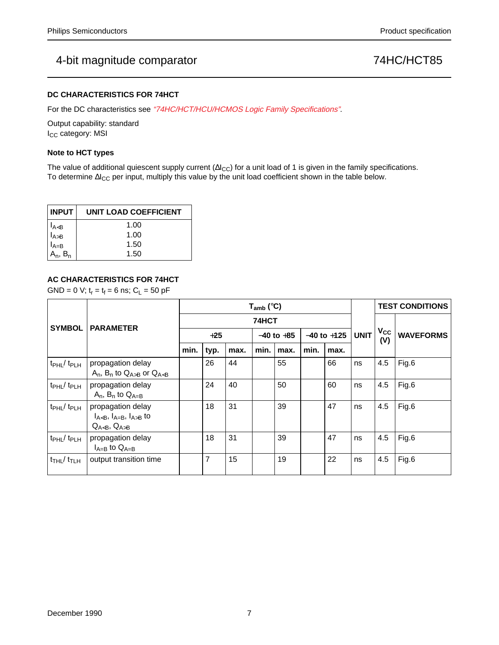### **DC CHARACTERISTICS FOR 74HCT**

For the DC characteristics see "74HC/HCT/HCU/HCMOS Logic Family Specifications".

Output capability: standard I<sub>CC</sub> category: MSI

### **Note to HCT types**

The value of additional quiescent supply current ( $\Delta I_{CC}$ ) for a unit load of 1 is given in the family specifications. To determine ∆I<sub>CC</sub> per input, multiply this value by the unit load coefficient shown in the table below.

| <b>INPUT</b>                   | UNIT LOAD COEFFICIENT |
|--------------------------------|-----------------------|
| I <sub>A<b< sub=""></b<></sub> | 1.00                  |
| l <sub>A&gt;B</sub>            | 1.00                  |
| !A=B                           | 1.50                  |
| $A_n$ , $B_n$                  | 1.50                  |

## **AC CHARACTERISTICS FOR 74HCT**

GND = 0 V;  $t_r = t_f = 6$  ns;  $C_L = 50$  pF

|                                           |                                                               | $T_{amb}$ (°C) |                |                |      |                 |      |             |                     | <b>TEST CONDITIONS</b> |       |
|-------------------------------------------|---------------------------------------------------------------|----------------|----------------|----------------|------|-----------------|------|-------------|---------------------|------------------------|-------|
| <b>SYMBOL</b>                             | <b>PARAMETER</b>                                              | 74HCT          |                |                |      |                 |      |             |                     |                        |       |
|                                           |                                                               | $+25$          |                | $-40$ to $+85$ |      | $-40$ to $+125$ |      | <b>UNIT</b> | $V_{\rm CC}$<br>(V) | <b>WAVEFORMS</b>       |       |
|                                           |                                                               | min.           | typ.           | max.           | min. | max.            | min. | max.        |                     |                        |       |
| $t_{\rm PHL}$ / $t_{\rm PLH}$             | propagation delay<br>$A_n$ , $B_n$ to $Q_{A>B}$ or $Q_{A<B}$  |                | 26             | 44             |      | 55              |      | 66          | ns                  | 4.5                    | Fig.6 |
| $t_{\rm PHL}/t_{\rm PLH}$                 | propagation delay<br>$A_n$ , $B_n$ to $Q_{A=B}$               |                | 24             | 40             |      | 50              |      | 60          | ns                  | 4.5                    | Fig.6 |
| $t_{\rm PHL}/t_{\rm PLH}$                 | propagation delay<br>$I_{A, I_{A=B}, I_{A>B} toQ_{A, Q_{A>B}$ |                | 18             | 31             |      | 39              |      | 47          | ns                  | 4.5                    | Fig.6 |
| $tpHL$ / $tpLH$                           | propagation delay<br>$I_{A=B}$ to $Q_{A=B}$                   |                | 18             | 31             |      | 39              |      | 47          | ns                  | 4.5                    | Fig.6 |
| $t$ <sub>THL</sub> $/$ $t$ <sub>TLH</sub> | output transition time                                        |                | $\overline{7}$ | 15             |      | 19              |      | 22          | ns                  | 4.5                    | Fig.6 |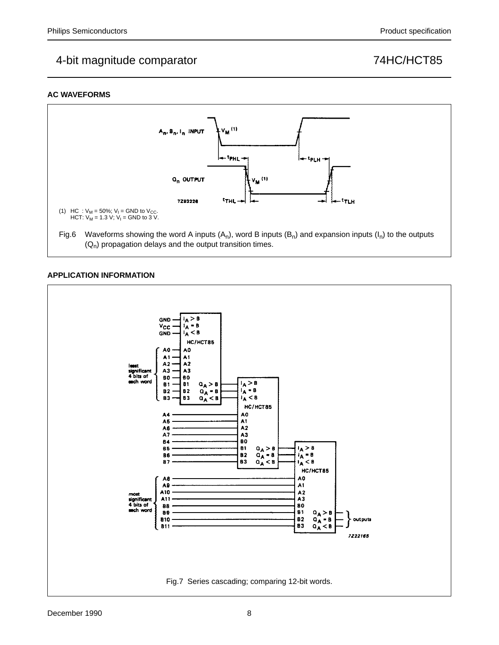## **AC WAVEFORMS**



## **APPLICATION INFORMATION**